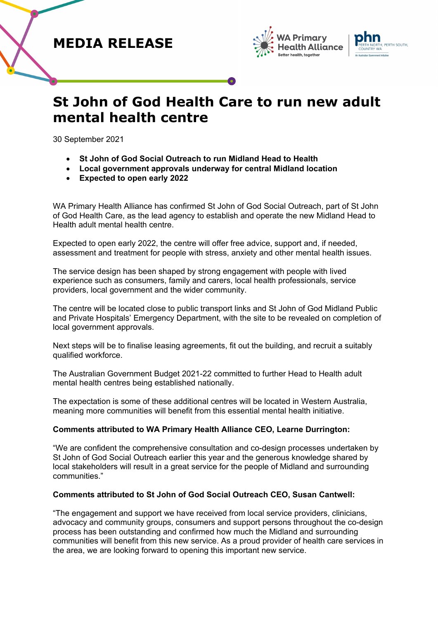# **MEDIA RELEASE**





# **St John of God Health Care to run new adult mental health centre**

30 September 2021

- **St John of God Social Outreach to run Midland Head to Health**
- **Local government approvals underway for central Midland location**
- **Expected to open early 2022**

WA Primary Health Alliance has confirmed St John of God Social Outreach, part of St John of God Health Care, as the lead agency to establish and operate the new Midland Head to Health adult mental health centre.

Expected to open early 2022, the centre will offer free advice, support and, if needed, assessment and treatment for people with stress, anxiety and other mental health issues.

The service design has been shaped by strong engagement with people with lived experience such as consumers, family and carers, local health professionals, service providers, local government and the wider community.

The centre will be located close to public transport links and St John of God Midland Public and Private Hospitals' Emergency Department, with the site to be revealed on completion of local government approvals.

Next steps will be to finalise leasing agreements, fit out the building, and recruit a suitably qualified workforce.

The Australian Government Budget 2021-22 committed to further Head to Health adult mental health centres being established nationally.

The expectation is some of these additional centres will be located in Western Australia, meaning more communities will benefit from this essential mental health initiative.

# **Comments attributed to WA Primary Health Alliance CEO, Learne Durrington:**

"We are confident the comprehensive consultation and co-design processes undertaken by St John of God Social Outreach earlier this year and the generous knowledge shared by local stakeholders will result in a great service for the people of Midland and surrounding communities."

# **Comments attributed to St John of God Social Outreach CEO, Susan Cantwell:**

"The engagement and support we have received from local service providers, clinicians, advocacy and community groups, consumers and support persons throughout the co-design process has been outstanding and confirmed how much the Midland and surrounding communities will benefit from this new service. As a proud provider of health care services in the area, we are looking forward to opening this important new service.